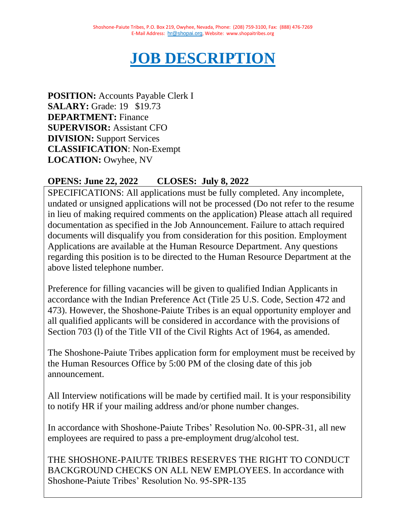# **JOB DESCRIPTION**

**POSITION:** Accounts Payable Clerk I **SALARY:** Grade: 19 \$19.73 **DEPARTMENT:** Finance **SUPERVISOR:** Assistant CFO **DIVISION:** Support Services **CLASSIFICATION**: Non-Exempt **LOCATION:** Owyhee, NV

# **OPENS: June 22, 2022 CLOSES: July 8, 2022**

SPECIFICATIONS: All applications must be fully completed. Any incomplete, undated or unsigned applications will not be processed (Do not refer to the resume in lieu of making required comments on the application) Please attach all required documentation as specified in the Job Announcement. Failure to attach required documents will disqualify you from consideration for this position. Employment Applications are available at the Human Resource Department. Any questions regarding this position is to be directed to the Human Resource Department at the above listed telephone number.

Preference for filling vacancies will be given to qualified Indian Applicants in accordance with the Indian Preference Act (Title 25 U.S. Code, Section 472 and 473). However, the Shoshone-Paiute Tribes is an equal opportunity employer and all qualified applicants will be considered in accordance with the provisions of Section 703 (l) of the Title VII of the Civil Rights Act of 1964, as amended.

The Shoshone-Paiute Tribes application form for employment must be received by the Human Resources Office by 5:00 PM of the closing date of this job announcement.

All Interview notifications will be made by certified mail. It is your responsibility to notify HR if your mailing address and/or phone number changes.

In accordance with Shoshone-Paiute Tribes' Resolution No. 00-SPR-31, all new employees are required to pass a pre-employment drug/alcohol test.

THE SHOSHONE-PAIUTE TRIBES RESERVES THE RIGHT TO CONDUCT BACKGROUND CHECKS ON ALL NEW EMPLOYEES. In accordance with Shoshone-Paiute Tribes' Resolution No. 95-SPR-135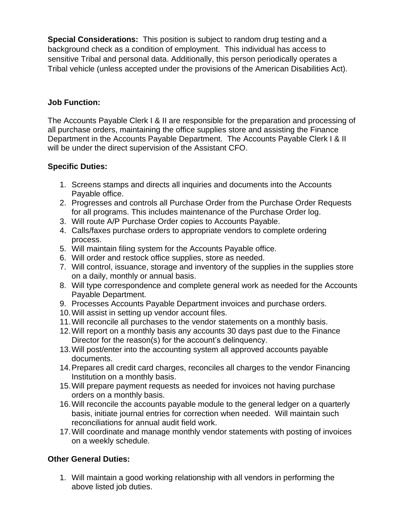**Special Considerations:** This position is subject to random drug testing and a background check as a condition of employment. This individual has access to sensitive Tribal and personal data. Additionally, this person periodically operates a Tribal vehicle (unless accepted under the provisions of the American Disabilities Act).

# **Job Function:**

The Accounts Payable Clerk I & II are responsible for the preparation and processing of all purchase orders, maintaining the office supplies store and assisting the Finance Department in the Accounts Payable Department. The Accounts Payable Clerk I & II will be under the direct supervision of the Assistant CFO.

## **Specific Duties:**

- 1. Screens stamps and directs all inquiries and documents into the Accounts Payable office.
- 2. Progresses and controls all Purchase Order from the Purchase Order Requests for all programs. This includes maintenance of the Purchase Order log.
- 3. Will route A/P Purchase Order copies to Accounts Payable.
- 4. Calls/faxes purchase orders to appropriate vendors to complete ordering process.
- 5. Will maintain filing system for the Accounts Payable office.
- 6. Will order and restock office supplies, store as needed.
- 7. Will control, issuance, storage and inventory of the supplies in the supplies store on a daily, monthly or annual basis.
- 8. Will type correspondence and complete general work as needed for the Accounts Payable Department.
- 9. Processes Accounts Payable Department invoices and purchase orders.
- 10.Will assist in setting up vendor account files.
- 11.Will reconcile all purchases to the vendor statements on a monthly basis.
- 12.Will report on a monthly basis any accounts 30 days past due to the Finance Director for the reason(s) for the account's delinquency.
- 13.Will post/enter into the accounting system all approved accounts payable documents.
- 14.Prepares all credit card charges, reconciles all charges to the vendor Financing Institution on a monthly basis.
- 15.Will prepare payment requests as needed for invoices not having purchase orders on a monthly basis.
- 16.Will reconcile the accounts payable module to the general ledger on a quarterly basis, initiate journal entries for correction when needed. Will maintain such reconciliations for annual audit field work.
- 17.Will coordinate and manage monthly vendor statements with posting of invoices on a weekly schedule.

# **Other General Duties:**

1. Will maintain a good working relationship with all vendors in performing the above listed job duties.